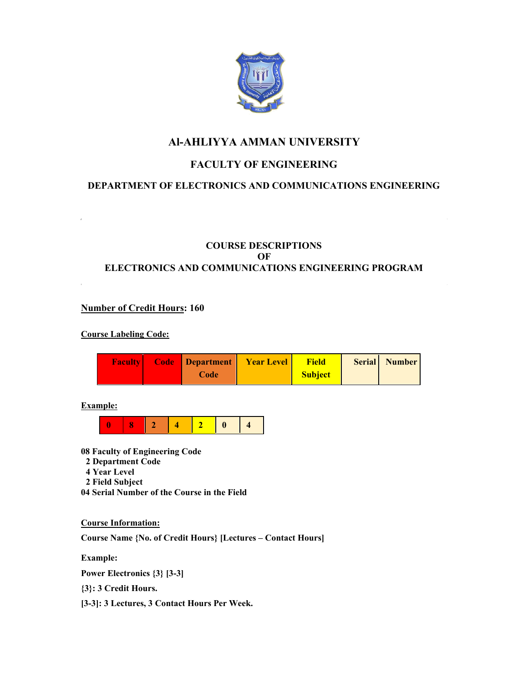

# **Al-AHLIYYA AMMAN UNIVERSITY**

# **FACULTY OF ENGINEERING**

## **DEPARTMENT OF ELECTRONICS AND COMMUNICATIONS ENGINEERING**

## **COURSE DESCRIPTIONS OF ELECTRONICS AND COMMUNICATIONS ENGINEERING PROGRAM**

## **Number of Credit Hours: 160**

## **Course Labeling Code:**

| <b>Faculty</b> | Code Department | <b>Year Level</b> | <b>Field</b>   | <b>Serial</b> Number |
|----------------|-----------------|-------------------|----------------|----------------------|
|                | Code            |                   | <b>Subject</b> |                      |

## **Example:**



**08 Faculty of Engineering Code** 

- **2 Department Code**
- **4 Year Level**
- **2 Field Subject**

**04 Serial Number of the Course in the Field** 

### **Course Information:**

**Course Name {No. of Credit Hours} [Lectures – Contact Hours]** 

**Example:** 

**Power Electronics {3} [3-3]** 

**{3}: 3 Credit Hours.** 

**[3-3]: 3 Lectures, 3 Contact Hours Per Week.**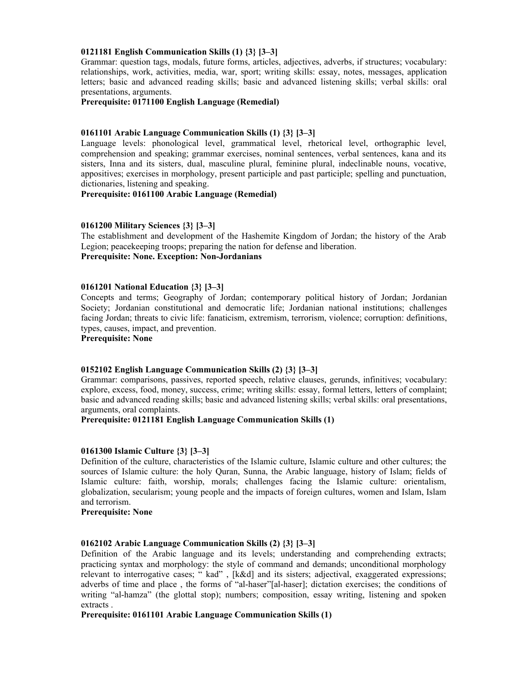### **0121181 English Communication Skills (1) {3} [3–3]**

Grammar: question tags, modals, future forms, articles, adjectives, adverbs, if structures; vocabulary: relationships, work, activities, media, war, sport; writing skills: essay, notes, messages, application letters; basic and advanced reading skills; basic and advanced listening skills; verbal skills: oral presentations, arguments.

#### **Prerequisite: 0171100 English Language (Remedial)**

#### **0161101 Arabic Language Communication Skills (1) {3} [3–3]**

Language levels: phonological level, grammatical level, rhetorical level, orthographic level, comprehension and speaking; grammar exercises, nominal sentences, verbal sentences, kana and its sisters, Inna and its sisters, dual, masculine plural, feminine plural, indeclinable nouns, vocative, appositives; exercises in morphology, present participle and past participle; spelling and punctuation, dictionaries, listening and speaking.

**Prerequisite: 0161100 Arabic Language (Remedial)** 

#### **0161200 Military Sciences {3} [3–3]**

The establishment and development of the Hashemite Kingdom of Jordan; the history of the Arab Legion; peacekeeping troops; preparing the nation for defense and liberation. **Prerequisite: None. Exception: Non-Jordanians** 

#### **0161201 National Education {3} [3–3]**

Concepts and terms; Geography of Jordan; contemporary political history of Jordan; Jordanian Society; Jordanian constitutional and democratic life; Jordanian national institutions; challenges facing Jordan; threats to civic life: fanaticism, extremism, terrorism, violence; corruption: definitions, types, causes, impact, and prevention.

**Prerequisite: None** 

## **0152102 English Language Communication Skills (2) {3} [3–3]**

Grammar: comparisons, passives, reported speech, relative clauses, gerunds, infinitives; vocabulary: explore, excess, food, money, success, crime; writing skills: essay, formal letters, letters of complaint; basic and advanced reading skills; basic and advanced listening skills; verbal skills: oral presentations, arguments, oral complaints.

#### **Prerequisite: 0121181 English Language Communication Skills (1)**

#### **0161300 Islamic Culture {3} [3–3]**

Definition of the culture, characteristics of the Islamic culture, Islamic culture and other cultures; the sources of Islamic culture: the holy Quran, Sunna, the Arabic language, history of Islam; fields of Islamic culture: faith, worship, morals; challenges facing the Islamic culture: orientalism, globalization, secularism; young people and the impacts of foreign cultures, women and Islam, Islam and terrorism.

#### **Prerequisite: None**

#### **0162102 Arabic Language Communication Skills (2) {3} [3–3]**

Definition of the Arabic language and its levels; understanding and comprehending extracts; practicing syntax and morphology: the style of command and demands; unconditional morphology relevant to interrogative cases; " kad" , [k&d] and its sisters; adjectival, exaggerated expressions; adverbs of time and place , the forms of "al-haser"[al-haser]; dictation exercises; the conditions of writing "al-hamza" (the glottal stop); numbers; composition, essay writing, listening and spoken extracts .

**Prerequisite: 0161101 Arabic Language Communication Skills (1)**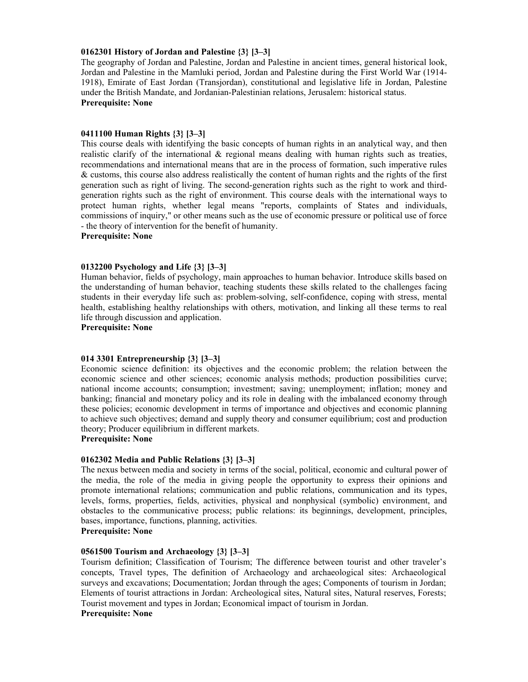### **0162301 History of Jordan and Palestine {3} [3–3]**

The geography of Jordan and Palestine, Jordan and Palestine in ancient times, general historical look, Jordan and Palestine in the Mamluki period, Jordan and Palestine during the First World War (1914- 1918), Emirate of East Jordan (Transjordan), constitutional and legislative life in Jordan, Palestine under the British Mandate, and Jordanian-Palestinian relations, Jerusalem: historical status. **Prerequisite: None** 

#### **0411100 Human Rights {3} [3–3]**

This course deals with identifying the basic concepts of human rights in an analytical way, and then realistic clarify of the international  $\&$  regional means dealing with human rights such as treaties, recommendations and international means that are in the process of formation, such imperative rules & customs, this course also address realistically the content of human rights and the rights of the first generation such as right of living. The second-generation rights such as the right to work and thirdgeneration rights such as the right of environment. This course deals with the international ways to protect human rights, whether legal means "reports, complaints of States and individuals, commissions of inquiry," or other means such as the use of economic pressure or political use of force - the theory of intervention for the benefit of humanity.

## **Prerequisite: None**

#### **0132200 Psychology and Life {3} [3–3]**

Human behavior, fields of psychology, main approaches to human behavior. Introduce skills based on the understanding of human behavior, teaching students these skills related to the challenges facing students in their everyday life such as: problem-solving, self-confidence, coping with stress, mental health, establishing healthy relationships with others, motivation, and linking all these terms to real life through discussion and application.

**Prerequisite: None** 

#### **014 3301 Entrepreneurship {3} [3–3]**

Economic science definition: its objectives and the economic problem; the relation between the economic science and other sciences; economic analysis methods; production possibilities curve; national income accounts; consumption; investment; saving; unemployment; inflation; money and banking; financial and monetary policy and its role in dealing with the imbalanced economy through these policies; economic development in terms of importance and objectives and economic planning to achieve such objectives; demand and supply theory and consumer equilibrium; cost and production theory; Producer equilibrium in different markets.

#### **Prerequisite: None**

#### **0162302 Media and Public Relations {3} [3–3]**

The nexus between media and society in terms of the social, political, economic and cultural power of the media, the role of the media in giving people the opportunity to express their opinions and promote international relations; communication and public relations, communication and its types, levels, forms, properties, fields, activities, physical and nonphysical (symbolic) environment, and obstacles to the communicative process; public relations: its beginnings, development, principles, bases, importance, functions, planning, activities.

# **Prerequisite: None**

#### **0561500 Tourism and Archaeology {3} [3–3]**

Tourism definition; Classification of Tourism; The difference between tourist and other traveler's concepts, Travel types, The definition of Archaeology and archaeological sites: Archaeological surveys and excavations; Documentation; Jordan through the ages; Components of tourism in Jordan; Elements of tourist attractions in Jordan: Archeological sites, Natural sites, Natural reserves, Forests; Tourist movement and types in Jordan; Economical impact of tourism in Jordan. **Prerequisite: None**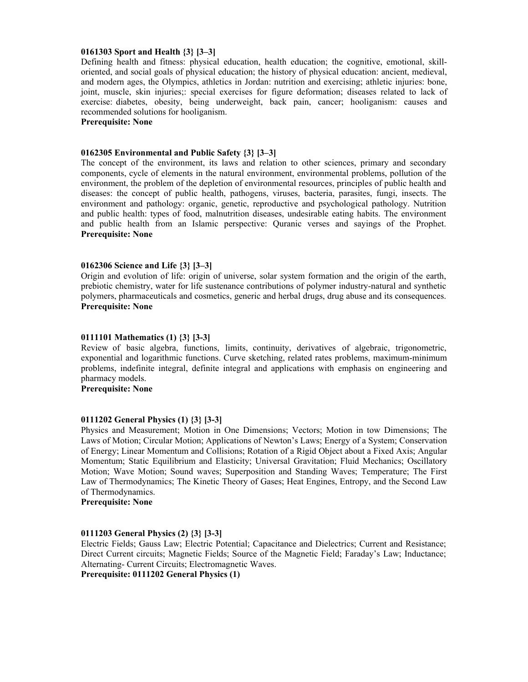#### **0161303 Sport and Health {3} [3–3]**

Defining health and fitness: physical education, health education; the cognitive, emotional, skilloriented, and social goals of physical education; the history of physical education: ancient, medieval, and modern ages, the Olympics, athletics in Jordan: nutrition and exercising; athletic injuries: bone, joint, muscle, skin injuries;: special exercises for figure deformation; diseases related to lack of exercise: diabetes, obesity, being underweight, back pain, cancer; hooliganism: causes and recommended solutions for hooliganism.

### **Prerequisite: None**

## **0162305 Environmental and Public Safety {3} [3–3]**

The concept of the environment, its laws and relation to other sciences, primary and secondary components, cycle of elements in the natural environment, environmental problems, pollution of the environment, the problem of the depletion of environmental resources, principles of public health and diseases: the concept of public health, pathogens, viruses, bacteria, parasites, fungi, insects. The environment and pathology: organic, genetic, reproductive and psychological pathology. Nutrition and public health: types of food, malnutrition diseases, undesirable eating habits. The environment and public health from an Islamic perspective: Quranic verses and sayings of the Prophet. **Prerequisite: None**

#### **0162306 Science and Life {3} [3–3]**

Origin and evolution of life: origin of universe, solar system formation and the origin of the earth, prebiotic chemistry, water for life sustenance contributions of polymer industry-natural and synthetic polymers, pharmaceuticals and cosmetics, generic and herbal drugs, drug abuse and its consequences. **Prerequisite: None**

#### **0111101 Mathematics (1) {3} [3-3]**

Review of basic algebra, functions, limits, continuity, derivatives of algebraic, trigonometric, exponential and logarithmic functions. Curve sketching, related rates problems, maximum-minimum problems, indefinite integral, definite integral and applications with emphasis on engineering and pharmacy models.

**Prerequisite: None** 

#### **0111202 General Physics (1) {3} [3-3]**

Physics and Measurement; Motion in One Dimensions; Vectors; Motion in tow Dimensions; The Laws of Motion; Circular Motion; Applications of Newton's Laws; Energy of a System; Conservation of Energy; Linear Momentum and Collisions; Rotation of a Rigid Object about a Fixed Axis; Angular Momentum; Static Equilibrium and Elasticity; Universal Gravitation; Fluid Mechanics; Oscillatory Motion; Wave Motion; Sound waves; Superposition and Standing Waves; Temperature; The First Law of Thermodynamics; The Kinetic Theory of Gases; Heat Engines, Entropy, and the Second Law of Thermodynamics.

**Prerequisite: None** 

### **0111203 General Physics (2) {3} [3-3]**

Electric Fields; Gauss Law; Electric Potential; Capacitance and Dielectrics; Current and Resistance; Direct Current circuits; Magnetic Fields; Source of the Magnetic Field; Faraday's Law; Inductance; Alternating- Current Circuits; Electromagnetic Waves.

**Prerequisite: 0111202 General Physics (1)**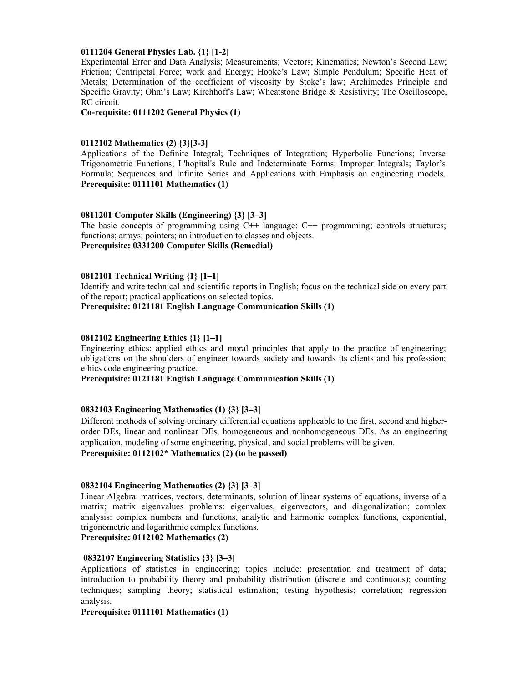#### **0111204 General Physics Lab. {1} [1-2]**

Experimental Error and Data Analysis; Measurements; Vectors; Kinematics; Newton's Second Law; Friction; Centripetal Force; work and Energy; Hooke's Law; Simple Pendulum; Specific Heat of Metals; Determination of the coefficient of viscosity by Stoke's law; Archimedes Principle and Specific Gravity; Ohm's Law; Kirchhoff's Law; Wheatstone Bridge & Resistivity; The Oscilloscope, RC circuit.

**Co-requisite: 0111202 General Physics (1)** 

#### **0112102 Mathematics (2) {3}[3-3]**

Applications of the Definite Integral; Techniques of Integration; Hyperbolic Functions; Inverse Trigonometric Functions; L'hopital's Rule and Indeterminate Forms; Improper Integrals; Taylor's Formula; Sequences and Infinite Series and Applications with Emphasis on engineering models. **Prerequisite: 0111101 Mathematics (1)**

#### **0811201 Computer Skills (Engineering) {3} [3–3]**

The basic concepts of programming using C++ language: C++ programming; controls structures; functions; arrays; pointers; an introduction to classes and objects. **Prerequisite: 0331200 Computer Skills (Remedial)** 

#### **0812101 Technical Writing {1} [1–1]**

Identify and write technical and scientific reports in English; focus on the technical side on every part of the report; practical applications on selected topics.

**Prerequisite: 0121181 English Language Communication Skills (1)**

#### **0812102 Engineering Ethics {1} [1–1]**

Engineering ethics; applied ethics and moral principles that apply to the practice of engineering; obligations on the shoulders of engineer towards society and towards its clients and his profession; ethics code engineering practice.

## **Prerequisite: 0121181 English Language Communication Skills (1)**

## **0832103 Engineering Mathematics (1) {3} [3–3]**

Different methods of solving ordinary differential equations applicable to the first, second and higherorder DEs, linear and nonlinear DEs, homogeneous and nonhomogeneous DEs. As an engineering application, modeling of some engineering, physical, and social problems will be given. **Prerequisite: 0112102\* Mathematics (2) (to be passed)** 

#### **0832104 Engineering Mathematics (2) {3} [3–3]**

Linear Algebra: matrices, vectors, determinants, solution of linear systems of equations, inverse of a matrix; matrix eigenvalues problems: eigenvalues, eigenvectors, and diagonalization; complex analysis: complex numbers and functions, analytic and harmonic complex functions, exponential, trigonometric and logarithmic complex functions.

## **Prerequisite: 0112102 Mathematics (2)**

#### **0832107 Engineering Statistics {3} [3–3]**

Applications of statistics in engineering; topics include: presentation and treatment of data; introduction to probability theory and probability distribution (discrete and continuous); counting techniques; sampling theory; statistical estimation; testing hypothesis; correlation; regression analysis.

**Prerequisite: 0111101 Mathematics (1)**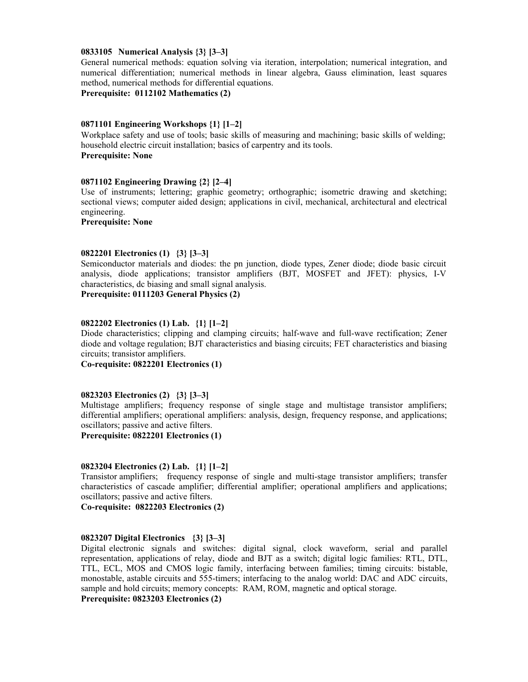#### **0833105 Numerical Analysis {3} [3–3]**

General numerical methods: equation solving via iteration, interpolation; numerical integration, and numerical differentiation; numerical methods in linear algebra, Gauss elimination, least squares method, numerical methods for differential equations.

**Prerequisite: 0112102 Mathematics (2)** 

#### **0871101 Engineering Workshops {1} [1–2]**

Workplace safety and use of tools; basic skills of measuring and machining; basic skills of welding; household electric circuit installation; basics of carpentry and its tools. **Prerequisite: None** 

### **0871102 Engineering Drawing {2} [2–4]**

Use of instruments; lettering; graphic geometry; orthographic; isometric drawing and sketching; sectional views; computer aided design; applications in civil, mechanical, architectural and electrical engineering.

**Prerequisite: None** 

#### **0822201 Electronics (1) {3} [3–3]**

Semiconductor materials and diodes: the pn junction, diode types, Zener diode; diode basic circuit analysis, diode applications; transistor amplifiers (BJT, MOSFET and JFET): physics, I-V characteristics, dc biasing and small signal analysis.

**Prerequisite: 0111203 General Physics (2)** 

## **0822202 Electronics (1) Lab. {1} [1–2]**

Diode characteristics; clipping and clamping circuits; half-wave and full-wave rectification; Zener diode and voltage regulation; BJT characteristics and biasing circuits; FET characteristics and biasing circuits; transistor amplifiers.

**Co-requisite: 0822201 Electronics (1)** 

#### **0823203 Electronics (2) {3} [3–3]**

Multistage amplifiers; frequency response of single stage and multistage transistor amplifiers; differential amplifiers; operational amplifiers: analysis, design, frequency response, and applications; oscillators; passive and active filters.

**Prerequisite: 0822201 Electronics (1)** 

## **0823204 Electronics (2) Lab. {1} [1–2]**

Transistor amplifiers; frequency response of single and multi-stage transistor amplifiers; transfer characteristics of cascade amplifier; differential amplifier; operational amplifiers and applications; oscillators; passive and active filters.

**Co-requisite: 0822203 Electronics (2)** 

#### **0823207 Digital Electronics {3} [3–3]**

Digital electronic signals and switches: digital signal, clock waveform, serial and parallel representation, applications of relay, diode and BJT as a switch; digital logic families: RTL, DTL, TTL, ECL, MOS and CMOS logic family, interfacing between families; timing circuits: bistable, monostable, astable circuits and 555-timers; interfacing to the analog world: DAC and ADC circuits, sample and hold circuits; memory concepts: RAM, ROM, magnetic and optical storage. **Prerequisite: 0823203 Electronics (2)**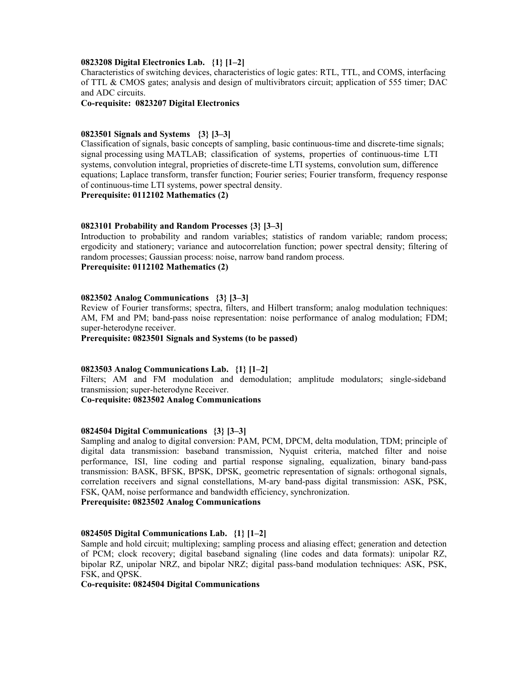#### **0823208 Digital Electronics Lab. {1} [1–2]**

Characteristics of switching devices, characteristics of logic gates: RTL, TTL, and COMS, interfacing of TTL & CMOS gates; analysis and design of multivibrators circuit; application of 555 timer; DAC and ADC circuits.

**Co-requisite: 0823207 Digital Electronics** 

#### **0823501 Signals and Systems {3} [3–3]**

Classification of signals, basic concepts of sampling, basic continuous-time and discrete-time signals; signal processing using MATLAB; classification of systems, properties of continuous-time LTI systems, convolution integral, proprieties of discrete-time LTI systems, convolution sum, difference equations; Laplace transform, transfer function; Fourier series; Fourier transform, frequency response of continuous-time LTI systems, power spectral density.

**Prerequisite: 0112102 Mathematics (2)** 

#### **0823101 Probability and Random Processes {3} [3–3]**

Introduction to probability and random variables; statistics of random variable; random process; ergodicity and stationery; variance and autocorrelation function; power spectral density; filtering of random processes; Gaussian process: noise, narrow band random process.

### **Prerequisite: 0112102 Mathematics (2)**

#### **0823502 Analog Communications {3} [3–3]**

Review of Fourier transforms; spectra, filters, and Hilbert transform; analog modulation techniques: AM, FM and PM; band-pass noise representation: noise performance of analog modulation; FDM; super-heterodyne receiver.

**Prerequisite: 0823501 Signals and Systems (to be passed)** 

#### **0823503 Analog Communications Lab. {1} [1–2]**

Filters; AM and FM modulation and demodulation; amplitude modulators; single-sideband transmission; super-heterodyne Receiver.

**Co-requisite: 0823502 Analog Communications** 

#### **0824504 Digital Communications {3} [3–3]**

Sampling and analog to digital conversion: PAM, PCM, DPCM, delta modulation, TDM; principle of digital data transmission: baseband transmission, Nyquist criteria, matched filter and noise performance, ISI, line coding and partial response signaling, equalization, binary band-pass transmission: BASK, BFSK, BPSK, DPSK, geometric representation of signals: orthogonal signals, correlation receivers and signal constellations, M-ary band-pass digital transmission: ASK, PSK, FSK, QAM, noise performance and bandwidth efficiency, synchronization.

**Prerequisite: 0823502 Analog Communications** 

#### **0824505 Digital Communications Lab. {1} [1–2]**

Sample and hold circuit; multiplexing; sampling process and aliasing effect; generation and detection of PCM; clock recovery; digital baseband signaling (line codes and data formats): unipolar RZ, bipolar RZ, unipolar NRZ, and bipolar NRZ; digital pass-band modulation techniques: ASK, PSK, FSK, and QPSK.

**Co-requisite: 0824504 Digital Communications**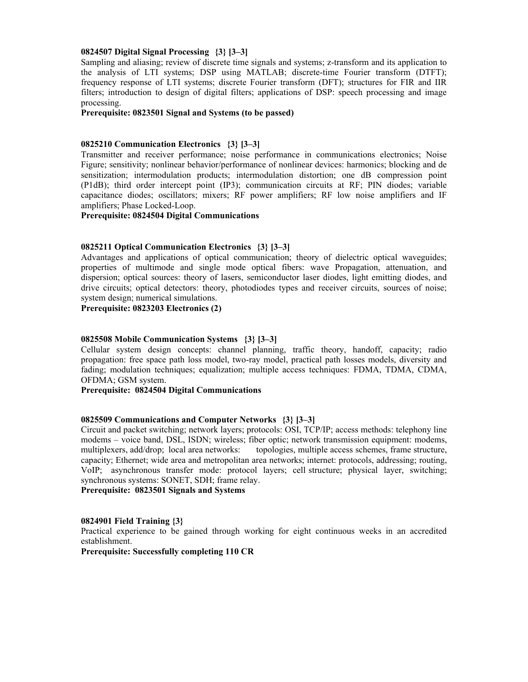#### **0824507 Digital Signal Processing {3} [3–3]**

Sampling and aliasing; review of discrete time signals and systems; z-transform and its application to the analysis of LTI systems; DSP using MATLAB; discrete-time Fourier transform (DTFT); frequency response of LTI systems; discrete Fourier transform (DFT); structures for FIR and IIR filters; introduction to design of digital filters; applications of DSP: speech processing and image processing.

**Prerequisite: 0823501 Signal and Systems (to be passed)** 

#### **0825210 Communication Electronics {3} [3–3]**

Transmitter and receiver performance; noise performance in communications electronics; Noise Figure; sensitivity; nonlinear behavior/performance of nonlinear devices: harmonics; blocking and de sensitization; intermodulation products; intermodulation distortion; one dB compression point (P1dB); third order intercept point (IP3); communication circuits at RF; PIN diodes; variable capacitance diodes; oscillators; mixers; RF power amplifiers; RF low noise amplifiers and IF amplifiers; Phase Locked-Loop.

#### **Prerequisite: 0824504 Digital Communications**

#### **0825211 Optical Communication Electronics {3} [3–3]**

Advantages and applications of optical communication; theory of dielectric optical waveguides; properties of multimode and single mode optical fibers: wave Propagation, attenuation, and dispersion; optical sources: theory of lasers, semiconductor laser diodes, light emitting diodes, and drive circuits; optical detectors: theory, photodiodes types and receiver circuits, sources of noise; system design; numerical simulations.

**Prerequisite: 0823203 Electronics (2)** 

#### **0825508 Mobile Communication Systems {3} [3–3]**

Cellular system design concepts: channel planning, traffic theory, handoff, capacity; radio propagation: free space path loss model, two-ray model, practical path losses models, diversity and fading; modulation techniques; equalization; multiple access techniques: FDMA, TDMA, CDMA, OFDMA; GSM system.

**Prerequisite: 0824504 Digital Communications** 

#### **0825509 Communications and Computer Networks {3} [3–3]**

Circuit and packet switching; network layers; protocols: OSI, TCP/IP; access methods: telephony line modems – voice band, DSL, ISDN; wireless; fiber optic; network transmission equipment: modems, multiplexers, add/drop; local area networks: topologies, multiple access schemes, frame structure, capacity; Ethernet; wide area and metropolitan area networks; internet: protocols, addressing; routing, VoIP; asynchronous transfer mode: protocol layers; cell structure; physical layer, switching; synchronous systems: SONET, SDH; frame relay.

**Prerequisite: 0823501 Signals and Systems** 

#### **0824901 Field Training {3}**

Practical experience to be gained through working for eight continuous weeks in an accredited establishment.

**Prerequisite: Successfully completing 110 CR**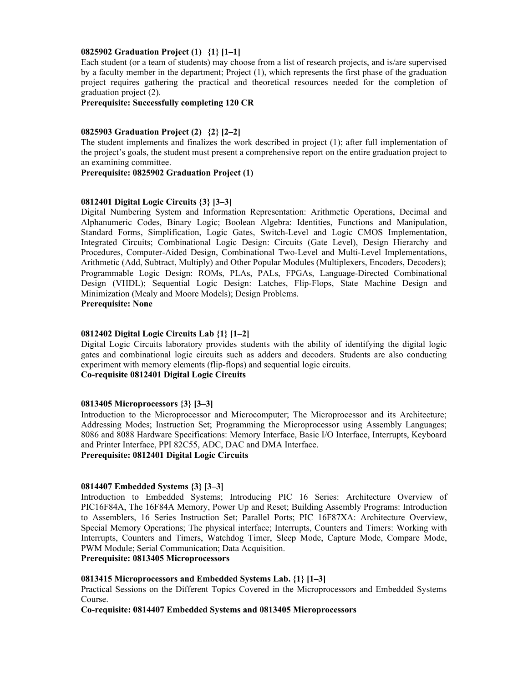#### **0825902 Graduation Project (1) {1} [1–1]**

Each student (or a team of students) may choose from a list of research projects, and is/are supervised by a faculty member in the department; Project (1), which represents the first phase of the graduation project requires gathering the practical and theoretical resources needed for the completion of graduation project (2).

#### **Prerequisite: Successfully completing 120 CR**

#### **0825903 Graduation Project (2) {2} [2–2]**

The student implements and finalizes the work described in project (1); after full implementation of the project's goals, the student must present a comprehensive report on the entire graduation project to an examining committee.

**Prerequisite: 0825902 Graduation Project (1)** 

#### **0812401 Digital Logic Circuits {3} [3–3]**

Digital Numbering System and Information Representation: Arithmetic Operations, Decimal and Alphanumeric Codes, Binary Logic; Boolean Algebra: Identities, Functions and Manipulation, Standard Forms, Simplification, Logic Gates, Switch-Level and Logic CMOS Implementation, Integrated Circuits; Combinational Logic Design: Circuits (Gate Level), Design Hierarchy and Procedures, Computer-Aided Design, Combinational Two-Level and Multi-Level Implementations, Arithmetic (Add, Subtract, Multiply) and Other Popular Modules (Multiplexers, Encoders, Decoders); Programmable Logic Design: ROMs, PLAs, PALs, FPGAs, Language-Directed Combinational Design (VHDL); Sequential Logic Design: Latches, Flip-Flops, State Machine Design and Minimization (Mealy and Moore Models); Design Problems. **Prerequisite: None** 

# **0812402 Digital Logic Circuits Lab {1} [1–2]**

Digital Logic Circuits laboratory provides students with the ability of identifying the digital logic gates and combinational logic circuits such as adders and decoders. Students are also conducting experiment with memory elements (flip-flops) and sequential logic circuits.

## **Co-requisite 0812401 Digital Logic Circuits**

#### **0813405 Microprocessors {3} [3–3]**

Introduction to the Microprocessor and Microcomputer; The Microprocessor and its Architecture; Addressing Modes; Instruction Set; Programming the Microprocessor using Assembly Languages; 8086 and 8088 Hardware Specifications: Memory Interface, Basic I/O Interface, Interrupts, Keyboard and Printer Interface, PPI 82C55, ADC, DAC and DMA Interface. **Prerequisite: 0812401 Digital Logic Circuits** 

# **0814407 Embedded Systems {3} [3–3]**

Introduction to Embedded Systems; Introducing PIC 16 Series: Architecture Overview of PIC16F84A, The 16F84A Memory, Power Up and Reset; Building Assembly Programs: Introduction to Assemblers, 16 Series Instruction Set; Parallel Ports; PIC 16F87XA: Architecture Overview, Special Memory Operations; The physical interface; Interrupts, Counters and Timers: Working with Interrupts, Counters and Timers, Watchdog Timer, Sleep Mode, Capture Mode, Compare Mode, PWM Module; Serial Communication; Data Acquisition.

## **Prerequisite: 0813405 Microprocessors**

#### **0813415 Microprocessors and Embedded Systems Lab. {1} [1–3]**

Practical Sessions on the Different Topics Covered in the Microprocessors and Embedded Systems Course.

**Co-requisite: 0814407 Embedded Systems and 0813405 Microprocessors**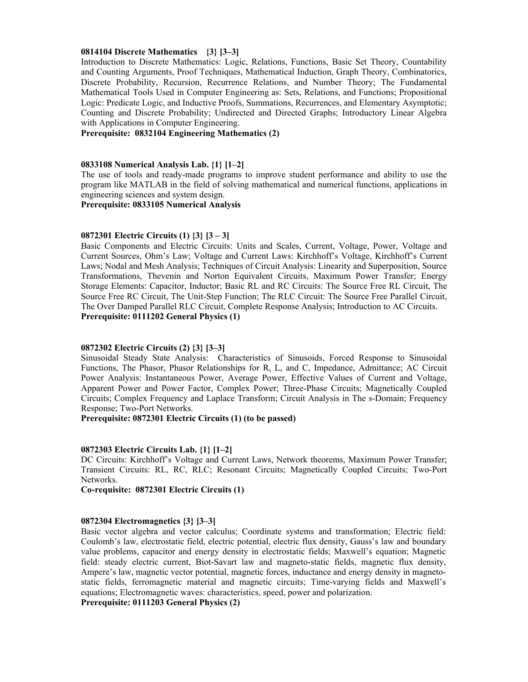#### **0814104 Discrete Mathematics {3} [3–3]**

Introduction to Discrete Mathematics: Logic, Relations, Functions, Basic Set Theory, Countability and Counting Arguments, Proof Techniques, Mathematical Induction, Graph Theory, Combinatorics, Discrete Probability, Recursion, Recurrence Relations, and Number Theory; The Fundamental Mathematical Tools Used in Computer Engineering as: Sets, Relations, and Functions; Propositional Logic: Predicate Logic, and Inductive Proofs, Summations, Recurrences, and Elementary Asymptotic; Counting and Discrete Probability; Undirected and Directed Graphs; Introductory Linear Algebra with Applications in Computer Engineering.

**Prerequisite: 0832104 Engineering Mathematics (2)** 

#### **0833108 Numerical Analysis Lab. {1} [1–2]**

The use of tools and ready-made programs to improve student performance and ability to use the program like MATLAB in the field of solving mathematical and numerical functions, applications in engineering sciences and system design.

**Prerequisite: 0833105 Numerical Analysis** 

#### **0872301 Electric Circuits (1) {3} [3 – 3]**

Basic Components and Electric Circuits: Units and Scales, Current, Voltage, Power, Voltage and Current Sources, Ohm's Law; Voltage and Current Laws: Kirchhoff's Voltage, Kirchhoff's Current Laws; Nodal and Mesh Analysis; Techniques of Circuit Analysis: Linearity and Superposition, Source Transformations, Thevenin and Norton Equivalent Circuits, Maximum Power Transfer; Energy Storage Elements: Capacitor, Inductor; Basic RL and RC Circuits: The Source Free RL Circuit, The Source Free RC Circuit, The Unit-Step Function; The RLC Circuit: The Source Free Parallel Circuit, The Over Damped Parallel RLC Circuit, Complete Response Analysis; Introduction to AC Circuits. **Prerequisite: 0111202 General Physics (1)** 

#### **0872302 Electric Circuits (2) {3} [3–3]**

Sinusoidal Steady State Analysis: Characteristics of Sinusoids, Forced Response to Sinusoidal Functions, The Phasor, Phasor Relationships for R, L, and C, Impedance, Admittance; AC Circuit Power Analysis: Instantaneous Power, Average Power, Effective Values of Current and Voltage, Apparent Power and Power Factor, Complex Power; Three-Phase Circuits; Magnetically Coupled Circuits; Complex Frequency and Laplace Transform; Circuit Analysis in The s-Domain; Frequency Response; Two-Port Networks.

**Prerequisite: 0872301 Electric Circuits (1) (to be passed)** 

#### **0872303 Electric Circuits Lab. {1} [1–2]**

DC Circuits: Kirchhoff's Voltage and Current Laws, Network theorems, Maximum Power Transfer; Transient Circuits: RL, RC, RLC; Resonant Circuits; Magnetically Coupled Circuits; Two-Port Networks.

**Co-requisite: 0872301 Electric Circuits (1)** 

#### **0872304 Electromagnetics {3} [3–3]**

Basic vector algebra and vector calculus; Coordinate systems and transformation; Electric field: Coulomb's law, electrostatic field, electric potential, electric flux density, Gauss's law and boundary value problems, capacitor and energy density in electrostatic fields; Maxwell's equation; Magnetic field: steady electric current, Biot-Savart law and magneto-static fields, magnetic flux density, Ampere's law, magnetic vector potential, magnetic forces, inductance and energy density in magnetostatic fields, ferromagnetic material and magnetic circuits; Time-varying fields and Maxwell's equations; Electromagnetic waves: characteristics, speed, power and polarization.

**Prerequisite: 0111203 General Physics (2)**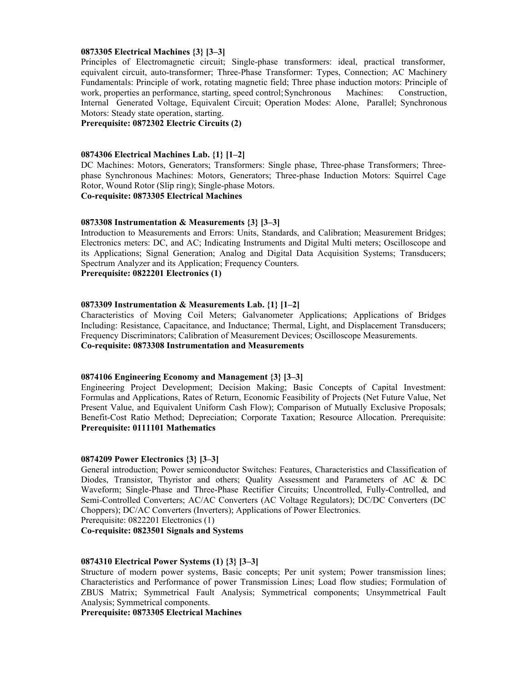#### **0873305 Electrical Machines {3} [3–3]**

Principles of Electromagnetic circuit; Single-phase transformers: ideal, practical transformer, equivalent circuit, auto-transformer; Three-Phase Transformer: Types, Connection; AC Machinery Fundamentals: Principle of work, rotating magnetic field; Three phase induction motors: Principle of work, properties an performance, starting, speed control; Synchronous Machines: Construction, Internal Generated Voltage, Equivalent Circuit; Operation Modes: Alone, Parallel; Synchronous Motors: Steady state operation, starting.

**Prerequisite: 0872302 Electric Circuits (2)** 

#### **0874306 Electrical Machines Lab. {1} [1–2]**

DC Machines: Motors, Generators; Transformers: Single phase, Three-phase Transformers; Threephase Synchronous Machines: Motors, Generators; Three-phase Induction Motors: Squirrel Cage Rotor, Wound Rotor (Slip ring); Single-phase Motors.

#### **Co-requisite: 0873305 Electrical Machines**

#### **0873308 Instrumentation & Measurements {3} [3–3]**

Introduction to Measurements and Errors: Units, Standards, and Calibration; Measurement Bridges; Electronics meters: DC, and AC; Indicating Instruments and Digital Multi meters; Oscilloscope and its Applications; Signal Generation; Analog and Digital Data Acquisition Systems; Transducers; Spectrum Analyzer and its Application; Frequency Counters. **Prerequisite: 0822201 Electronics (1)** 

#### **0873309 Instrumentation & Measurements Lab. {1} [1–2]**

Characteristics of Moving Coil Meters; Galvanometer Applications; Applications of Bridges Including: Resistance, Capacitance, and Inductance; Thermal, Light, and Displacement Transducers; Frequency Discriminators; Calibration of Measurement Devices; Oscilloscope Measurements. **Co-requisite: 0873308 Instrumentation and Measurements** 

#### **0874106 Engineering Economy and Management {3} [3–3]**

Engineering Project Development; Decision Making; Basic Concepts of Capital Investment: Formulas and Applications, Rates of Return, Economic Feasibility of Projects (Net Future Value, Net Present Value, and Equivalent Uniform Cash Flow); Comparison of Mutually Exclusive Proposals; Benefit-Cost Ratio Method; Depreciation; Corporate Taxation; Resource Allocation. Prerequisite: **Prerequisite: 0111101 Mathematics** 

#### **0874209 Power Electronics {3} [3–3]**

General introduction; Power semiconductor Switches: Features, Characteristics and Classification of Diodes, Transistor, Thyristor and others; Quality Assessment and Parameters of AC & DC Waveform; Single-Phase and Three-Phase Rectifier Circuits; Uncontrolled, Fully-Controlled, and Semi-Controlled Converters; AC/AC Converters (AC Voltage Regulators); DC/DC Converters (DC Choppers); DC/AC Converters (Inverters); Applications of Power Electronics.

Prerequisite: 0822201 Electronics (1)

**Co-requisite: 0823501 Signals and Systems** 

#### **0874310 Electrical Power Systems (1) {3} [3–3]**

Structure of modern power systems, Basic concepts; Per unit system; Power transmission lines; Characteristics and Performance of power Transmission Lines; Load flow studies; Formulation of ZBUS Matrix; Symmetrical Fault Analysis; Symmetrical components; Unsymmetrical Fault Analysis; Symmetrical components.

**Prerequisite: 0873305 Electrical Machines**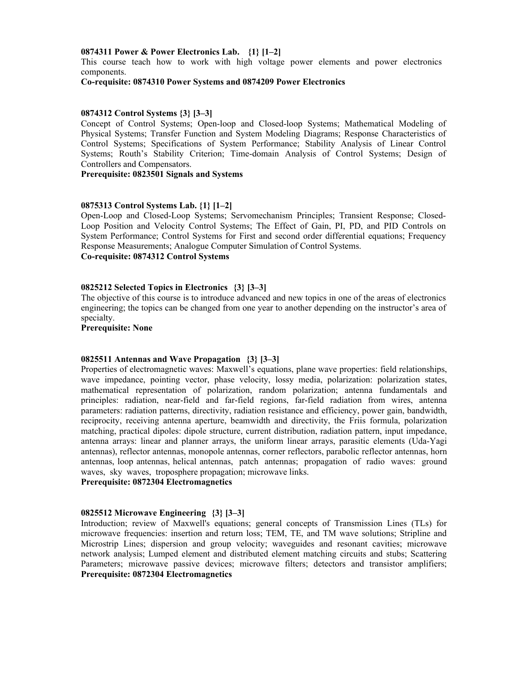#### **0874311 Power & Power Electronics Lab. {1} [1–2]**

This course teach how to work with high voltage power elements and power electronics components.

### **Co-requisite: 0874310 Power Systems and 0874209 Power Electronics**

#### **0874312 Control Systems {3} [3–3]**

Concept of Control Systems; Open-loop and Closed-loop Systems; Mathematical Modeling of Physical Systems; Transfer Function and System Modeling Diagrams; Response Characteristics of Control Systems; Specifications of System Performance; Stability Analysis of Linear Control Systems; Routh's Stability Criterion; Time-domain Analysis of Control Systems; Design of Controllers and Compensators.

#### **Prerequisite: 0823501 Signals and Systems**

#### **0875313 Control Systems Lab. {1} [1–2]**

Open-Loop and Closed-Loop Systems; Servomechanism Principles; Transient Response; Closed-Loop Position and Velocity Control Systems; The Effect of Gain, PI, PD, and PID Controls on System Performance; Control Systems for First and second order differential equations; Frequency Response Measurements; Analogue Computer Simulation of Control Systems. **Co-requisite: 0874312 Control Systems** 

#### **0825212 Selected Topics in Electronics {3} [3–3]**

The objective of this course is to introduce advanced and new topics in one of the areas of electronics engineering; the topics can be changed from one year to another depending on the instructor's area of specialty.

#### **Prerequisite: None**

#### **0825511 Antennas and Wave Propagation {3} [3–3]**

Properties of electromagnetic waves: Maxwell's equations, plane wave properties: field relationships, wave impedance, pointing vector, phase velocity, lossy media, polarization: polarization states, mathematical representation of polarization, random polarization; antenna fundamentals and principles: radiation, near-field and far-field regions, far-field radiation from wires, antenna parameters: radiation patterns, directivity, radiation resistance and efficiency, power gain, bandwidth, reciprocity, receiving antenna aperture, beamwidth and directivity, the Friis formula, polarization matching, practical dipoles: dipole structure, current distribution, radiation pattern, input impedance, antenna arrays: linear and planner arrays, the uniform linear arrays, parasitic elements (Uda-Yagi antennas), reflector antennas, monopole antennas, corner reflectors, parabolic reflector antennas, horn antennas, loop antennas, helical antennas, patch antennas; propagation of radio waves: ground waves, sky waves, troposphere propagation; microwave links.

#### **Prerequisite: 0872304 Electromagnetics**

#### **0825512 Microwave Engineering {3} [3–3]**

Introduction; review of Maxwell's equations; general concepts of Transmission Lines (TLs) for microwave frequencies: insertion and return loss; TEM, TE, and TM wave solutions; Stripline and Microstrip Lines; dispersion and group velocity; waveguides and resonant cavities; microwave network analysis; Lumped element and distributed element matching circuits and stubs; Scattering Parameters; microwave passive devices; microwave filters; detectors and transistor amplifiers; **Prerequisite: 0872304 Electromagnetics**